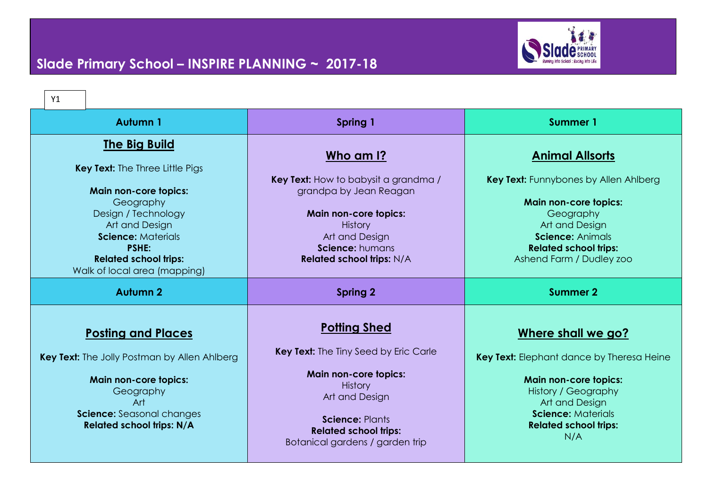

| Y1                                                                                                                                                                                                                                                                |                                                                                                                                                                                                                                      |                                                                                                                                                                                                                              |
|-------------------------------------------------------------------------------------------------------------------------------------------------------------------------------------------------------------------------------------------------------------------|--------------------------------------------------------------------------------------------------------------------------------------------------------------------------------------------------------------------------------------|------------------------------------------------------------------------------------------------------------------------------------------------------------------------------------------------------------------------------|
| Autumn 1                                                                                                                                                                                                                                                          | <b>Spring 1</b>                                                                                                                                                                                                                      | Summer 1                                                                                                                                                                                                                     |
| <b>The Big Build</b><br><b>Key Text:</b> The Three Little Pigs<br><b>Main non-core topics:</b><br>Geography<br>Design / Technology<br>Art and Design<br><b>Science: Materials</b><br><b>PSHE:</b><br><b>Related school trips:</b><br>Walk of local area (mapping) | <u>Who am I?</u><br>Key Text: How to babysit a grandma /<br>grandpa by Jean Reagan<br><b>Main non-core topics:</b><br><b>History</b><br>Art and Design<br>Science: humans<br><b>Related school trips: N/A</b>                        | <u>Animal Allsorts</u><br><b>Key Text:</b> Funnybones by Allen Ahlberg<br><b>Main non-core topics:</b><br>Geography<br>Art and Design<br><b>Science: Animals</b><br><b>Related school trips:</b><br>Ashend Farm / Dudley zoo |
| <b>Autumn 2</b>                                                                                                                                                                                                                                                   | <b>Spring 2</b>                                                                                                                                                                                                                      | <b>Summer 2</b>                                                                                                                                                                                                              |
| <b>Posting and Places</b><br><b>Key Text:</b> The Jolly Postman by Allen Ahlberg<br><b>Main non-core topics:</b><br>Geography<br>Art<br>Science: Seasonal changes<br><b>Related school trips: N/A</b>                                                             | <b>Potting Shed</b><br><b>Key Text:</b> The Tiny Seed by Eric Carle<br><b>Main non-core topics:</b><br><b>History</b><br>Art and Design<br><b>Science: Plants</b><br><b>Related school trips:</b><br>Botanical gardens / garden trip | Where shall we go?<br>Key Text: Elephant dance by Theresa Heine<br><b>Main non-core topics:</b><br>History / Geography<br>Art and Design<br><b>Science: Materials</b><br><b>Related school trips:</b><br>N/A                 |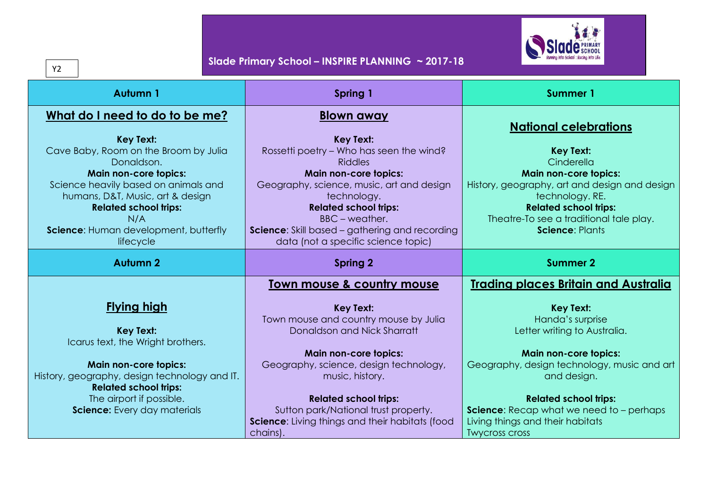

| <b>Autumn1</b>                                                         | Spring 1                                                    | <b>Summer 1</b>                                                         |
|------------------------------------------------------------------------|-------------------------------------------------------------|-------------------------------------------------------------------------|
| What do I need to do to be me?                                         | <u>Blown away</u>                                           | <b>National celebrations</b>                                            |
| <b>Key Text:</b>                                                       | <b>Key Text:</b>                                            |                                                                         |
| Cave Baby, Room on the Broom by Julia<br>Donaldson.                    | Rossetti poetry - Who has seen the wind?<br><b>Riddles</b>  | <b>Key Text:</b><br>Cinderella                                          |
| Main non-core topics:                                                  | <b>Main non-core topics:</b>                                | <b>Main non-core topics:</b>                                            |
| Science heavily based on animals and                                   | Geography, science, music, art and design                   | History, geography, art and design and design                           |
| humans, D&T, Music, art & design                                       | technology.<br><b>Related school trips:</b>                 | technology. RE.                                                         |
| <b>Related school trips:</b><br>N/A                                    | BBC – weather.                                              | <b>Related school trips:</b><br>Theatre-To see a traditional tale play. |
| Science: Human development, butterfly                                  | <b>Science:</b> Skill based - gathering and recording       | <b>Science: Plants</b>                                                  |
| lifecycle                                                              | data (not a specific science topic)                         |                                                                         |
| <b>Autumn 2</b>                                                        | <b>Spring 2</b>                                             | <b>Summer 2</b>                                                         |
|                                                                        | Town mouse & country mouse                                  | <b>Trading places Britain and Australia</b>                             |
| <b>Flying high</b>                                                     |                                                             |                                                                         |
|                                                                        | <b>Key Text:</b><br>Town mouse and country mouse by Julia   | <b>Key Text:</b><br>Handa's surprise                                    |
| <b>Key Text:</b>                                                       | Donaldson and Nick Sharratt                                 | Letter writing to Australia.                                            |
| Icarus text, the Wright brothers.                                      |                                                             |                                                                         |
|                                                                        | <b>Main non-core topics:</b>                                | <b>Main non-core topics:</b>                                            |
| Main non-core topics:<br>History, geography, design technology and IT. | Geography, science, design technology,<br>music, history.   | Geography, design technology, music and art<br>and design.              |
| <b>Related school trips:</b>                                           |                                                             |                                                                         |
| The airport if possible.                                               | <b>Related school trips:</b>                                | <b>Related school trips:</b>                                            |
| Science: Every day materials                                           | Sutton park/National trust property.                        | Science: Recap what we need to - perhaps                                |
|                                                                        | Science: Living things and their habitats (food<br>chains). | Living things and their habitats<br><b>Twycross cross</b>               |

Y2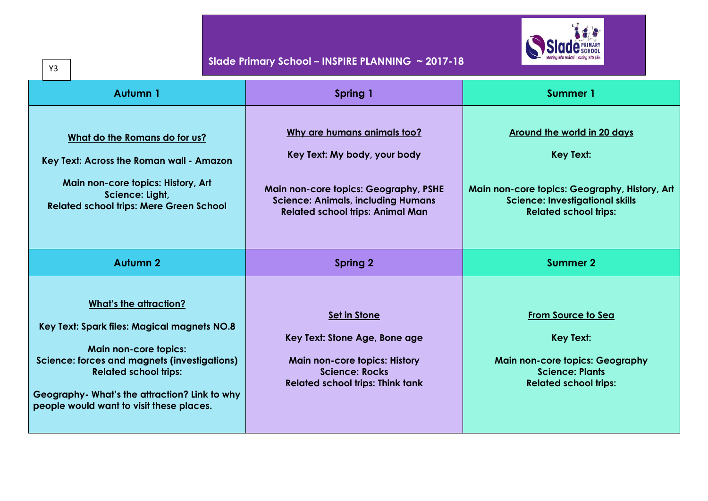

| Slade Primary School – INSPIRE PLANNING $\sim$ 2017-18<br>Y3                                                                                                                                                                                                                              |                                                                                                                                                                                              |                                                                                                                                                                                   |
|-------------------------------------------------------------------------------------------------------------------------------------------------------------------------------------------------------------------------------------------------------------------------------------------|----------------------------------------------------------------------------------------------------------------------------------------------------------------------------------------------|-----------------------------------------------------------------------------------------------------------------------------------------------------------------------------------|
| <b>Autumn 1</b>                                                                                                                                                                                                                                                                           | <b>Spring 1</b>                                                                                                                                                                              | <b>Summer 1</b>                                                                                                                                                                   |
| What do the Romans do for us?<br>Key Text: Across the Roman wall - Amazon<br>Main non-core topics: History, Art<br>Science: Light,<br><b>Related school trips: Mere Green School</b>                                                                                                      | Why are humans animals too?<br>Key Text: My body, your body<br>Main non-core topics: Geography, PSHE<br><b>Science: Animals, including Humans</b><br><b>Related school trips: Animal Man</b> | <b>Around the world in 20 days</b><br><b>Key Text:</b><br>Main non-core topics: Geography, History, Art<br><b>Science: Investigational skills</b><br><b>Related school trips:</b> |
| <b>Autumn 2</b>                                                                                                                                                                                                                                                                           | <b>Spring 2</b>                                                                                                                                                                              | <b>Summer 2</b>                                                                                                                                                                   |
| <b>What's the attraction?</b><br>Key Text: Spark files: Magical magnets NO.8<br><b>Main non-core topics:</b><br>Science: forces and magnets (investigations)<br><b>Related school trips:</b><br>Geography- What's the attraction? Link to why<br>people would want to visit these places. | <b>Set in Stone</b><br>Key Text: Stone Age, Bone age<br><b>Main non-core topics: History</b><br><b>Science: Rocks</b><br><b>Related school trips: Think tank</b>                             | <b>From Source to Sea</b><br><b>Key Text:</b><br><b>Main non-core topics: Geography</b><br><b>Science: Plants</b><br><b>Related school trips:</b>                                 |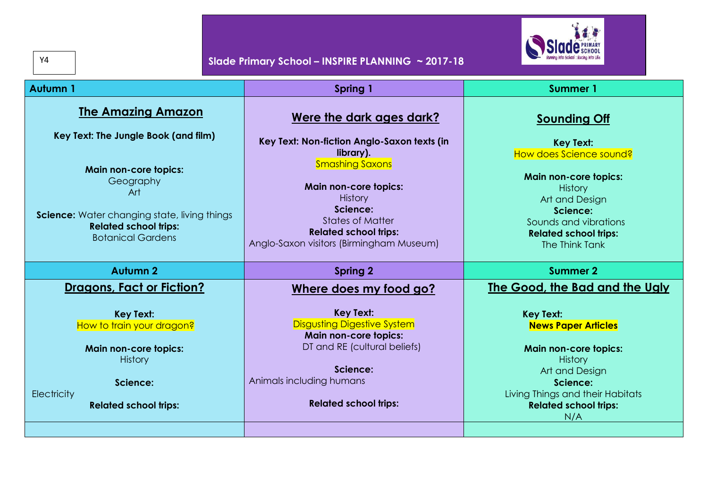| Y4                                                                                                                                                                                                                                | Slade Primary School - INSPIRE PLANNING ~ 2017-18                                                                                                                                                                                                                                   |                                                                                                                                                                                                                                             |
|-----------------------------------------------------------------------------------------------------------------------------------------------------------------------------------------------------------------------------------|-------------------------------------------------------------------------------------------------------------------------------------------------------------------------------------------------------------------------------------------------------------------------------------|---------------------------------------------------------------------------------------------------------------------------------------------------------------------------------------------------------------------------------------------|
| <b>Autumn 1</b>                                                                                                                                                                                                                   | Spring 1                                                                                                                                                                                                                                                                            | <b>Summer 1</b>                                                                                                                                                                                                                             |
| <b>The Amazing Amazon</b><br>Key Text: The Jungle Book (and film)<br><b>Main non-core topics:</b><br>Geography<br>Art<br>Science: Water changing state, living things<br><b>Related school trips:</b><br><b>Botanical Gardens</b> | Were the dark ages dark?<br>Key Text: Non-fiction Anglo-Saxon texts (in<br>library).<br><b>Smashing Saxons</b><br><b>Main non-core topics:</b><br><b>History</b><br>Science:<br><b>States of Matter</b><br><b>Related school trips:</b><br>Anglo-Saxon visitors (Birmingham Museum) | <b>Sounding Off</b><br><b>Key Text:</b><br>How does Science sound?<br><b>Main non-core topics:</b><br><b>History</b><br>Art and Design<br>Science:<br>Sounds and vibrations<br><b>Related school trips:</b><br>The Think Tank               |
| <b>Autumn 2</b>                                                                                                                                                                                                                   | <b>Spring 2</b>                                                                                                                                                                                                                                                                     | <b>Summer 2</b>                                                                                                                                                                                                                             |
| <b>Dragons, Fact or Fiction?</b><br><b>Key Text:</b><br>How to train your dragon?<br>Main non-core topics:<br><b>History</b><br>Science:<br>Electricity<br><b>Related school trips:</b>                                           | Where does my food go?<br><b>Key Text:</b><br><b>Disgusting Digestive System</b><br><b>Main non-core topics:</b><br>DT and RE (cultural beliefs)<br>Science:<br>Animals including humans<br><b>Related school trips:</b>                                                            | The Good, the Bad and the Ugly<br><b>Key Text:</b><br><b>News Paper Articles</b><br><b>Main non-core topics:</b><br><b>History</b><br>Art and Design<br>Science:<br>Living Things and their Habitats<br><b>Related school trips:</b><br>N/A |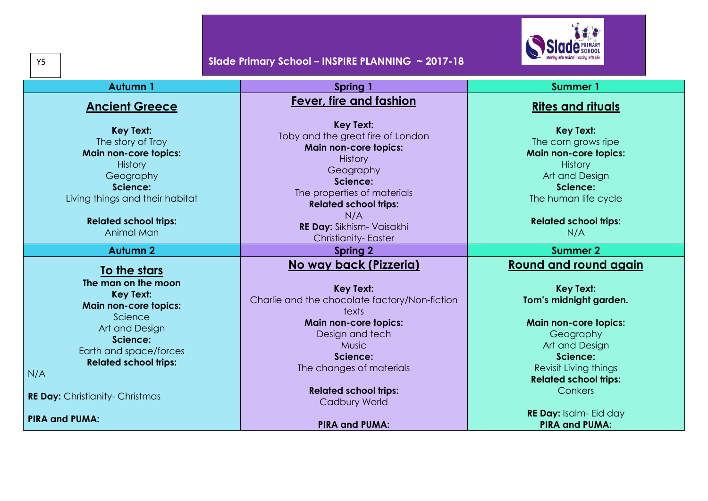

| <b>Autumn1</b>                                                                                                                                                                                    | Spring 1                                                                                                                                                                                                                                                   | <b>Summer 1</b>                                                                                                                                                                        |
|---------------------------------------------------------------------------------------------------------------------------------------------------------------------------------------------------|------------------------------------------------------------------------------------------------------------------------------------------------------------------------------------------------------------------------------------------------------------|----------------------------------------------------------------------------------------------------------------------------------------------------------------------------------------|
| <b>Ancient Greece</b>                                                                                                                                                                             | <b>Fever, fire and fashion</b>                                                                                                                                                                                                                             | <b>Rites and rituals</b>                                                                                                                                                               |
| <b>Key Text:</b><br>The story of Troy<br><b>Main non-core topics:</b><br><b>History</b><br>Geography<br>Science:<br>Living things and their habitat<br><b>Related school trips:</b><br>Animal Man | <b>Key Text:</b><br>Toby and the great fire of London<br>Main non-core topics:<br><b>History</b><br>Geography<br>Science:<br>The properties of materials<br><b>Related school trips:</b><br>N/A<br>RE Day: Sikhism- Vaisakhi<br><b>Christianity-Easter</b> | <b>Key Text:</b><br>The corn grows ripe<br><b>Main non-core topics:</b><br><b>History</b><br>Art and Design<br>Science:<br>The human life cycle<br><b>Related school trips:</b><br>N/A |
| <b>Autumn 2</b>                                                                                                                                                                                   | <b>Spring 2</b>                                                                                                                                                                                                                                            | <b>Summer 2</b>                                                                                                                                                                        |
| To the stars<br>The man on the moon<br><b>Key Text:</b><br><b>Main non-core topics:</b>                                                                                                           | No way back (Pizzeria)<br><b>Key Text:</b><br>Charlie and the chocolate factory/Non-fiction<br>texts                                                                                                                                                       | <b>Round and round again</b><br><b>Key Text:</b><br>Tom's midnight garden.                                                                                                             |
| Science<br>Art and Design<br>Science:<br>Earth and space/forces<br><b>Related school trips:</b><br>N/A                                                                                            | <b>Main non-core topics:</b><br>Design and tech<br><b>Music</b><br>Science:<br>The changes of materials                                                                                                                                                    | <b>Main non-core topics:</b><br>Geography<br>Art and Design<br>Science:<br>Revisit Living things<br><b>Related school trips:</b>                                                       |
| <b>RE Day: Christianity- Christmas</b>                                                                                                                                                            | <b>Related school trips:</b><br><b>Cadbury World</b>                                                                                                                                                                                                       | Conkers                                                                                                                                                                                |
| <b>PIRA and PUMA:</b>                                                                                                                                                                             | <b>PIRA and PUMA:</b>                                                                                                                                                                                                                                      | RE Day: Isalm- Eid day<br><b>PIRA and PUMA:</b>                                                                                                                                        |

Y5